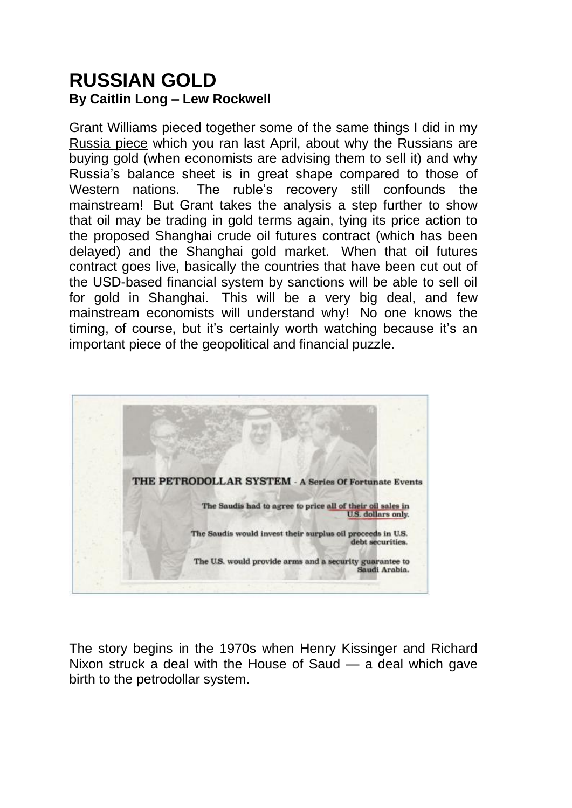## **RUSSIAN GOLD By Caitlin Long – Lew Rockwell**

Grant Williams pieced together some of the same things I did in my [Russia piece](https://www.lewrockwell.com/2016/04/caitlin-long/russia-great/) which you ran last April, about why the Russians are buying gold (when economists are advising them to sell it) and why Russia"s balance sheet is in great shape compared to those of Western nations. The ruble"s recovery still confounds the mainstream! But Grant takes the analysis a step further to show that oil may be trading in gold terms again, tying its price action to the proposed Shanghai crude oil futures contract (which has been delayed) and the Shanghai gold market. When that oil futures contract goes live, basically the countries that have been cut out of the USD-based financial system by sanctions will be able to sell oil for gold in Shanghai. This will be a very big deal, and few mainstream economists will understand why! No one knows the timing, of course, but it's certainly worth watching because it's an important piece of the geopolitical and financial puzzle.



The story begins in the 1970s when Henry Kissinger and Richard Nixon struck a deal with the House of Saud — a deal which gave birth to the petrodollar system.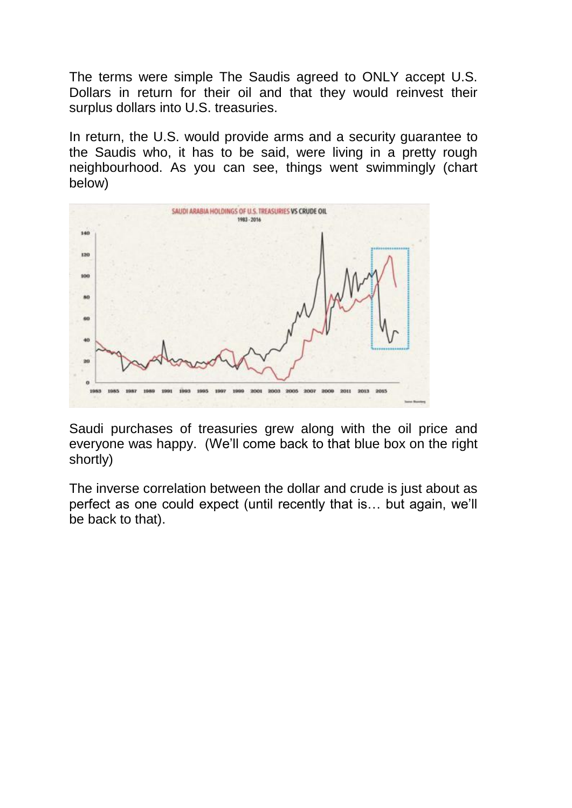The terms were simple The Saudis agreed to ONLY accept U.S. Dollars in return for their oil and that they would reinvest their surplus dollars into U.S. treasuries.

In return, the U.S. would provide arms and a security guarantee to the Saudis who, it has to be said, were living in a pretty rough neighbourhood. As you can see, things went swimmingly (chart below)



Saudi purchases of treasuries grew along with the oil price and everyone was happy. (We"ll come back to that blue box on the right shortly)

The inverse correlation between the dollar and crude is just about as perfect as one could expect (until recently that is… but again, we"ll be back to that).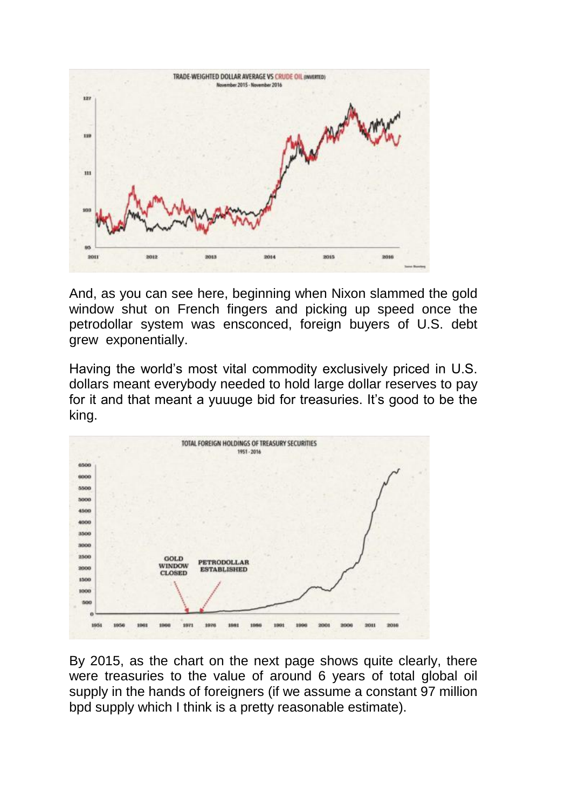

And, as you can see here, beginning when Nixon slammed the gold window shut on French fingers and picking up speed once the petrodollar system was ensconced, foreign buyers of U.S. debt grew exponentially.

Having the world"s most vital commodity exclusively priced in U.S. dollars meant everybody needed to hold large dollar reserves to pay for it and that meant a yuuuge bid for treasuries. It's good to be the king.



By 2015, as the chart on the next page shows quite clearly, there were treasuries to the value of around 6 years of total global oil supply in the hands of foreigners (if we assume a constant 97 million bpd supply which I think is a pretty reasonable estimate).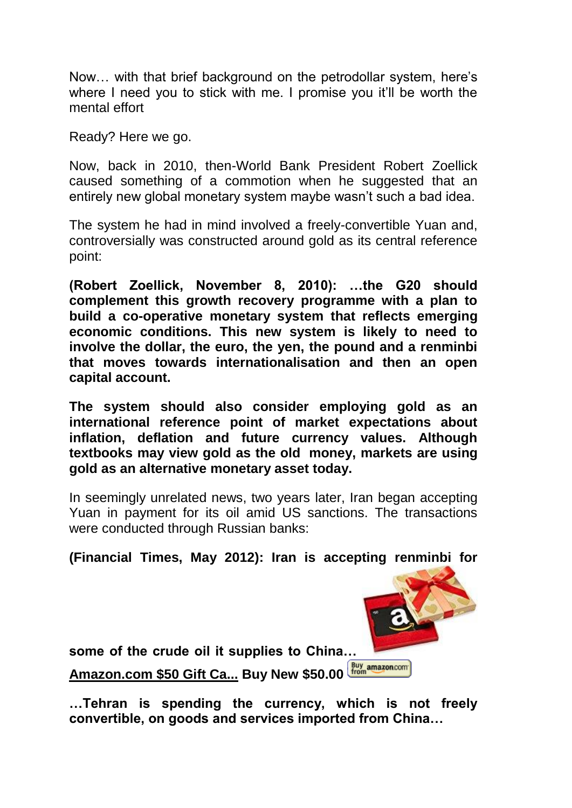Now… with that brief background on the petrodollar system, here"s where I need you to stick with me. I promise you it'll be worth the mental effort

Ready? Here we go.

Now, back in 2010, then-World Bank President Robert Zoellick caused something of a commotion when he suggested that an entirely new global monetary system maybe wasn"t such a bad idea.

The system he had in mind involved a freely-convertible Yuan and, controversially was constructed around gold as its central reference point:

**(Robert Zoellick, November 8, 2010): …the G20 should complement this growth recovery programme with a plan to build a co-operative monetary system that reflects emerging economic conditions. This new system is likely to need to involve the dollar, the euro, the yen, the pound and a renminbi that moves towards internationalisation and then an open capital account.**

**The system should also consider employing gold as an international reference point of market expectations about inflation, deflation and future currency values. Although textbooks may view gold as the old money, markets are using gold as an alternative monetary asset today.**

In seemingly unrelated news, two years later, Iran began accepting Yuan in payment for its oil amid US sanctions. The transactions were conducted through Russian banks:

**(Financial Times, May 2012): Iran is accepting renminbi for** 

**some of the crude oil it supplies to China…**

**[Amazon.com \\$50 Gift Ca...](https://www.amazon.com/Amazon-com-Hearts-Classic-Black-Design/dp/B016CID2JY%3Fpsc%3D1%26SubscriptionId%3DAKIAI63WS3YGA3Y5U2QA%26tag%3Dlewrockwell%26linkCode%3Dxm2%26camp%3D2025%26creative%3D165953%26creativeASIN%3DB016CID2JY) Buy New \$50.00**

**…Tehran is spending the currency, which is not freely convertible, on goods and services imported from China…**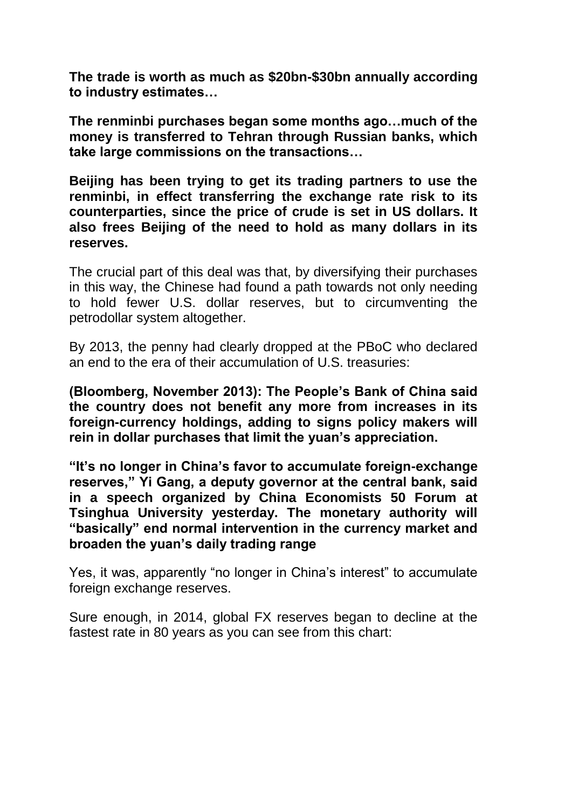**The trade is worth as much as \$20bn-\$30bn annually according to industry estimates…**

**The renminbi purchases began some months ago…much of the money is transferred to Tehran through Russian banks, which take large commissions on the transactions…**

**Beijing has been trying to get its trading partners to use the renminbi, in effect transferring the exchange rate risk to its counterparties, since the price of crude is set in US dollars. It also frees Beijing of the need to hold as many dollars in its reserves.**

The crucial part of this deal was that, by diversifying their purchases in this way, the Chinese had found a path towards not only needing to hold fewer U.S. dollar reserves, but to circumventing the petrodollar system altogether.

By 2013, the penny had clearly dropped at the PBoC who declared an end to the era of their accumulation of U.S. treasuries:

**(Bloomberg, November 2013): The People's Bank of China said the country does not benefit any more from increases in its foreign-currency holdings, adding to signs policy makers will rein in dollar purchases that limit the yuan's appreciation.**

**―It's no longer in China's favor to accumulate foreign-exchange**  reserves," Yi Gang, a deputy governor at the central bank, said **in a speech organized by China Economists 50 Forum at Tsinghua University yesterday. The monetary authority will ―basically‖ end normal intervention in the currency market and broaden the yuan's daily trading range**

Yes, it was, apparently "no longer in China"s interest" to accumulate foreign exchange reserves.

Sure enough, in 2014, global FX reserves began to decline at the fastest rate in 80 years as you can see from this chart: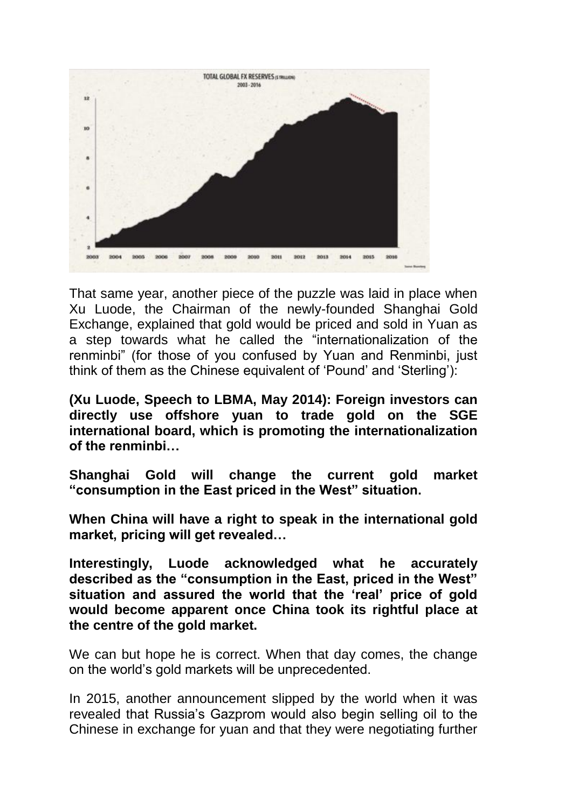

That same year, another piece of the puzzle was laid in place when Xu Luode, the Chairman of the newly-founded Shanghai Gold Exchange, explained that gold would be priced and sold in Yuan as a step towards what he called the "internationalization of the renminbi" (for those of you confused by Yuan and Renminbi, just think of them as the Chinese equivalent of "Pound" and "Sterling"):

**(Xu Luode, Speech to LBMA, May 2014): Foreign investors can directly use offshore yuan to trade gold on the SGE international board, which is promoting the internationalization of the renminbi…**

**Shanghai Gold will change the current gold market ―consumption in the East priced in the West‖ situation.**

**When China will have a right to speak in the international gold market, pricing will get revealed…**

**Interestingly, Luode acknowledged what he accurately**  described as the "consumption in the East, priced in the West" situation and assured the world that the 'real' price of gold **would become apparent once China took its rightful place at the centre of the gold market.**

We can but hope he is correct. When that day comes, the change on the world"s gold markets will be unprecedented.

In 2015, another announcement slipped by the world when it was revealed that Russia"s Gazprom would also begin selling oil to the Chinese in exchange for yuan and that they were negotiating further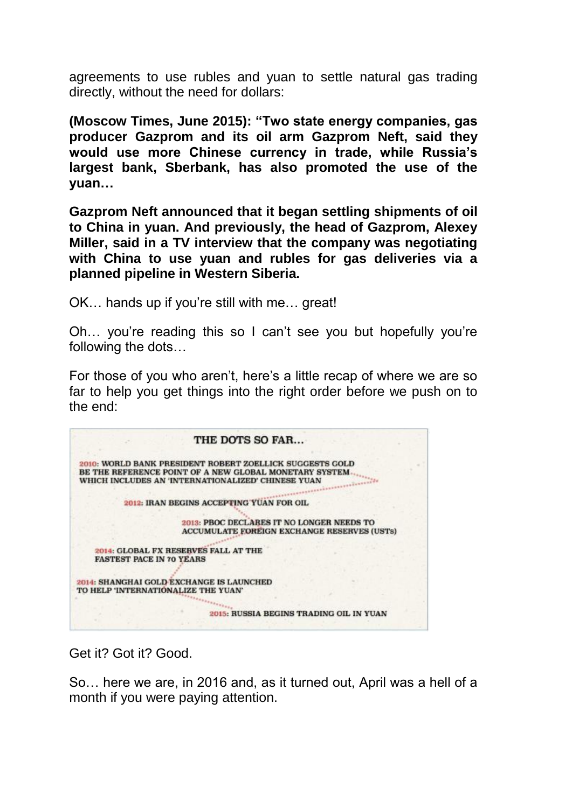agreements to use rubles and yuan to settle natural gas trading directly, without the need for dollars:

**(Moscow Times, June 2015): ―Two state energy companies, gas producer Gazprom and its oil arm Gazprom Neft, said they would use more Chinese currency in trade, while Russia's largest bank, Sberbank, has also promoted the use of the yuan…**

**Gazprom Neft announced that it began settling shipments of oil to China in yuan. And previously, the head of Gazprom, Alexey Miller, said in a TV interview that the company was negotiating with China to use yuan and rubles for gas deliveries via a planned pipeline in Western Siberia.**

OK… hands up if you"re still with me… great!

Oh… you"re reading this so I can"t see you but hopefully you"re following the dots…

For those of you who aren"t, here"s a little recap of where we are so far to help you get things into the right order before we push on to the end:



Get it? Got it? Good.

So… here we are, in 2016 and, as it turned out, April was a hell of a month if you were paying attention.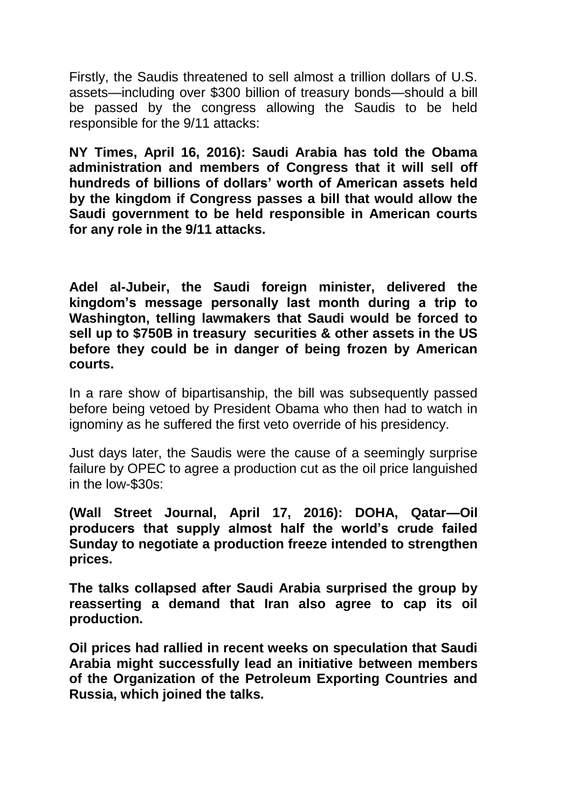Firstly, the Saudis threatened to sell almost a trillion dollars of U.S. assets—including over \$300 billion of treasury bonds—should a bill be passed by the congress allowing the Saudis to be held responsible for the 9/11 attacks:

**NY Times, April 16, 2016): Saudi Arabia has told the Obama administration and members of Congress that it will sell off hundreds of billions of dollars' worth of American assets held by the kingdom if Congress passes a bill that would allow the Saudi government to be held responsible in American courts for any role in the 9/11 attacks.**

**Adel al-Jubeir, the Saudi foreign minister, delivered the kingdom's message personally last month during a trip to Washington, telling lawmakers that Saudi would be forced to sell up to \$750B in treasury securities & other assets in the US before they could be in danger of being frozen by American courts.**

In a rare show of bipartisanship, the bill was subsequently passed before being vetoed by President Obama who then had to watch in ignominy as he suffered the first veto override of his presidency.

Just days later, the Saudis were the cause of a seemingly surprise failure by OPEC to agree a production cut as the oil price languished in the low-\$30s:

**(Wall Street Journal, April 17, 2016): DOHA, Qatar—Oil producers that supply almost half the world's crude failed Sunday to negotiate a production freeze intended to strengthen prices.**

**The talks collapsed after Saudi Arabia surprised the group by reasserting a demand that Iran also agree to cap its oil production.**

**Oil prices had rallied in recent weeks on speculation that Saudi Arabia might successfully lead an initiative between members of the Organization of the Petroleum Exporting Countries and Russia, which joined the talks.**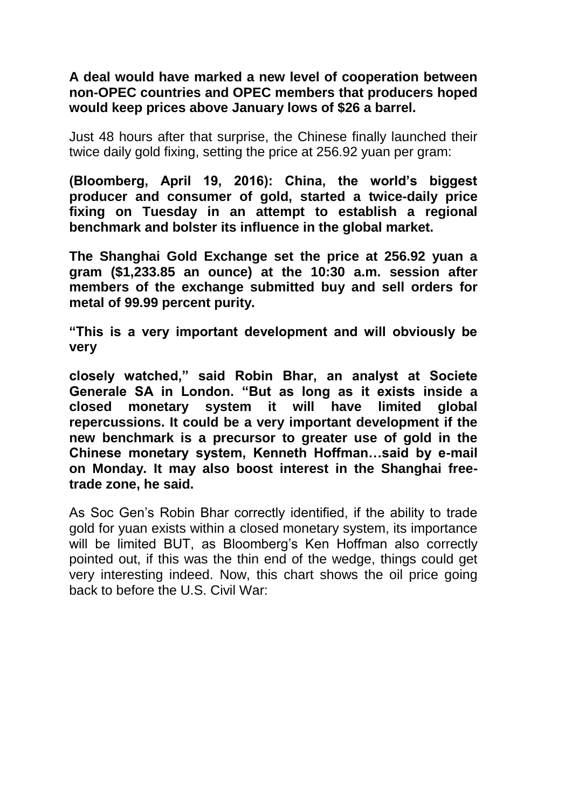## **A deal would have marked a new level of cooperation between non-OPEC countries and OPEC members that producers hoped would keep prices above January lows of \$26 a barrel.**

Just 48 hours after that surprise, the Chinese finally launched their twice daily gold fixing, setting the price at 256.92 yuan per gram:

**(Bloomberg, April 19, 2016): China, the world's biggest producer and consumer of gold, started a twice-daily price fixing on Tuesday in an attempt to establish a regional benchmark and bolster its influence in the global market.**

**The Shanghai Gold Exchange set the price at 256.92 yuan a gram (\$1,233.85 an ounce) at the 10:30 a.m. session after members of the exchange submitted buy and sell orders for metal of 99.99 percent purity.**

**―This is a very important development and will obviously be very**

**closely watched,‖ said Robin Bhar, an analyst at Societe**  Generale SA in London. "But as long as it exists inside a **closed monetary system it will have limited global repercussions. It could be a very important development if the new benchmark is a precursor to greater use of gold in the Chinese monetary system, Kenneth Hoffman…said by e-mail on Monday. It may also boost interest in the Shanghai freetrade zone, he said.**

As Soc Gen"s Robin Bhar correctly identified, if the ability to trade gold for yuan exists within a closed monetary system, its importance will be limited BUT, as Bloomberg's Ken Hoffman also correctly pointed out, if this was the thin end of the wedge, things could get very interesting indeed. Now, this chart shows the oil price going back to before the U.S. Civil War: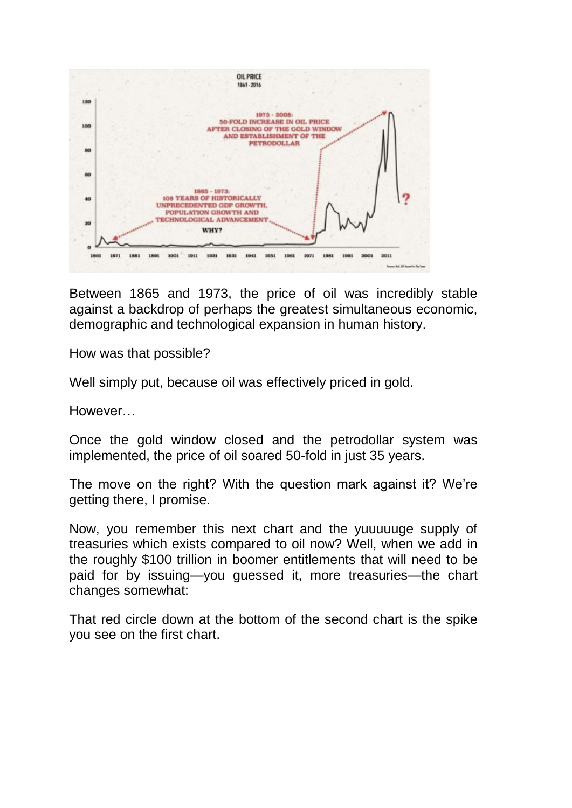

Between 1865 and 1973, the price of oil was incredibly stable against a backdrop of perhaps the greatest simultaneous economic, demographic and technological expansion in human history.

How was that possible?

Well simply put, because oil was effectively priced in gold.

However…

Once the gold window closed and the petrodollar system was implemented, the price of oil soared 50-fold in just 35 years.

The move on the right? With the question mark against it? We"re getting there, I promise.

Now, you remember this next chart and the yuuuuuge supply of treasuries which exists compared to oil now? Well, when we add in the roughly \$100 trillion in boomer entitlements that will need to be paid for by issuing—you guessed it, more treasuries—the chart changes somewhat:

That red circle down at the bottom of the second chart is the spike you see on the first chart.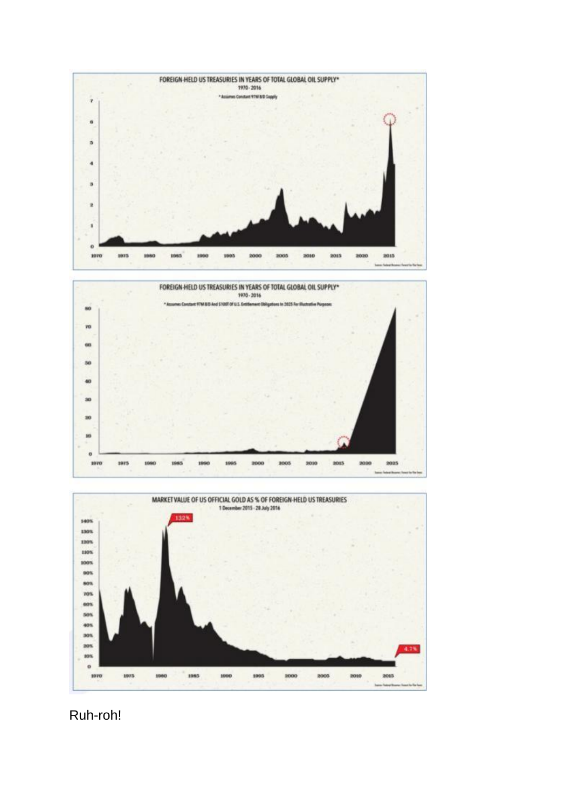





Ruh-roh!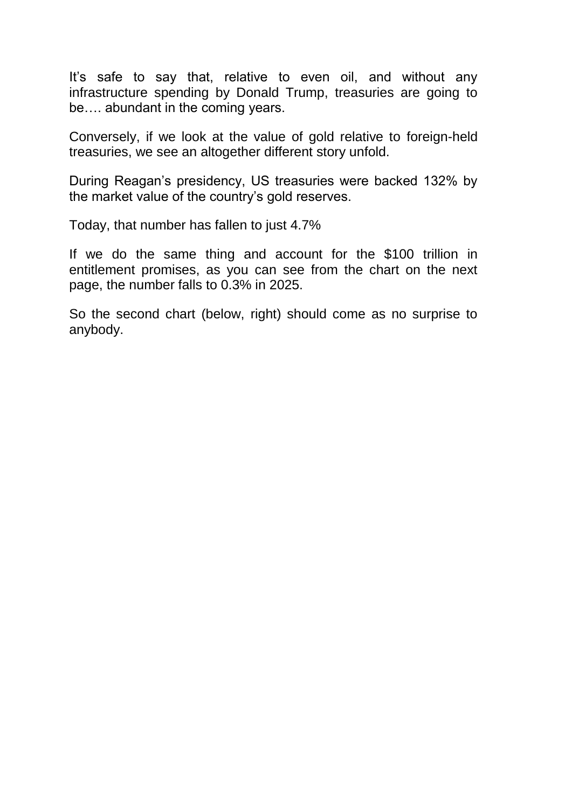It"s safe to say that, relative to even oil, and without any infrastructure spending by Donald Trump, treasuries are going to be…. abundant in the coming years.

Conversely, if we look at the value of gold relative to foreign-held treasuries, we see an altogether different story unfold.

During Reagan"s presidency, US treasuries were backed 132% by the market value of the country"s gold reserves.

Today, that number has fallen to just 4.7%

If we do the same thing and account for the \$100 trillion in entitlement promises, as you can see from the chart on the next page, the number falls to 0.3% in 2025.

So the second chart (below, right) should come as no surprise to anybody.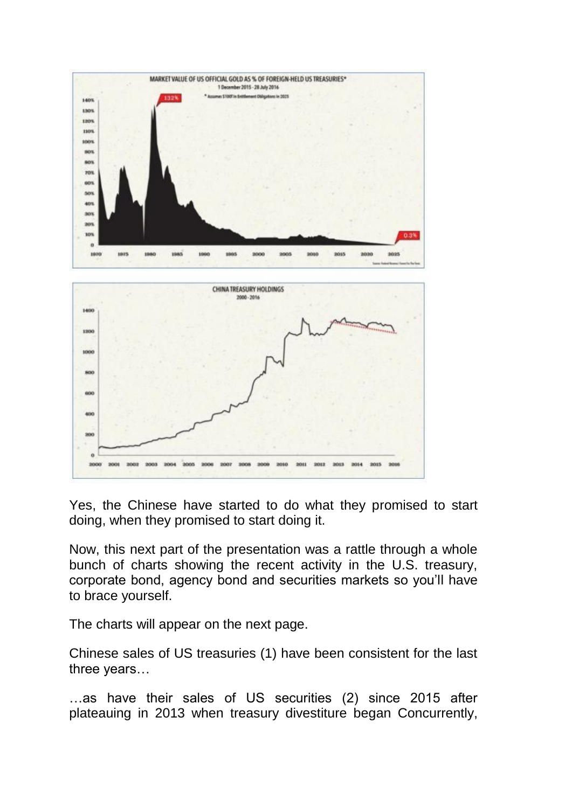

Yes, the Chinese have started to do what they promised to start doing, when they promised to start doing it.

Now, this next part of the presentation was a rattle through a whole bunch of charts showing the recent activity in the U.S. treasury, corporate bond, agency bond and securities markets so you"ll have to brace yourself.

The charts will appear on the next page.

Chinese sales of US treasuries (1) have been consistent for the last three years…

…as have their sales of US securities (2) since 2015 after plateauing in 2013 when treasury divestiture began Concurrently,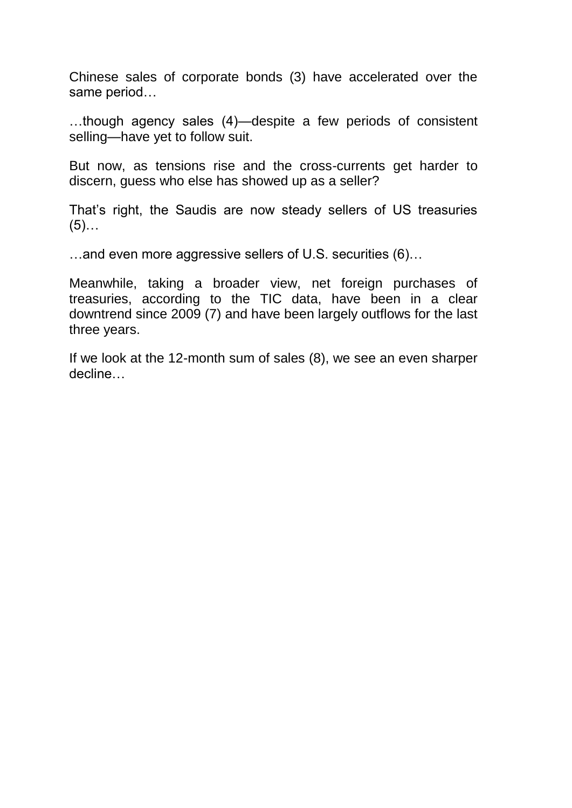Chinese sales of corporate bonds (3) have accelerated over the same period…

…though agency sales (4)—despite a few periods of consistent selling—have yet to follow suit.

But now, as tensions rise and the cross-currents get harder to discern, guess who else has showed up as a seller?

That"s right, the Saudis are now steady sellers of US treasuries  $(5)$ ...

…and even more aggressive sellers of U.S. securities (6)…

Meanwhile, taking a broader view, net foreign purchases of treasuries, according to the TIC data, have been in a clear downtrend since 2009 (7) and have been largely outflows for the last three years.

If we look at the 12-month sum of sales (8), we see an even sharper decline…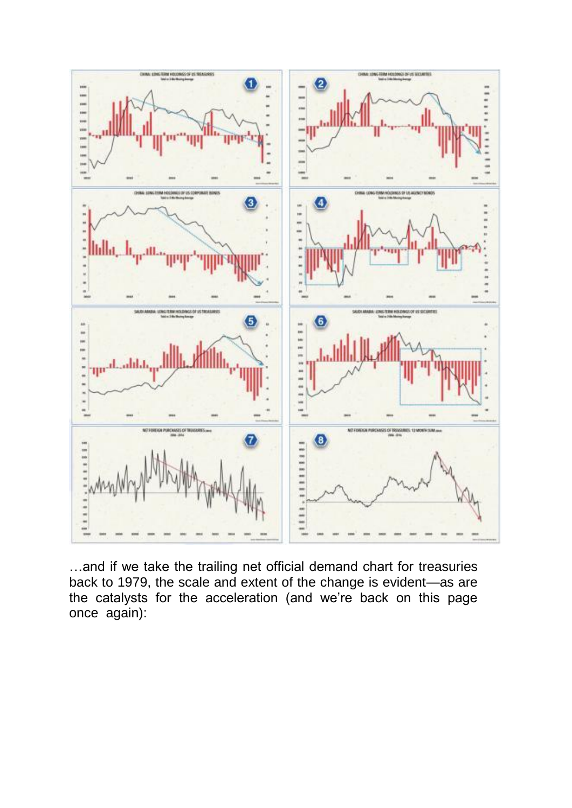

…and if we take the trailing net official demand chart for treasuries back to 1979, the scale and extent of the change is evident—as are the catalysts for the acceleration (and we"re back on this page once again):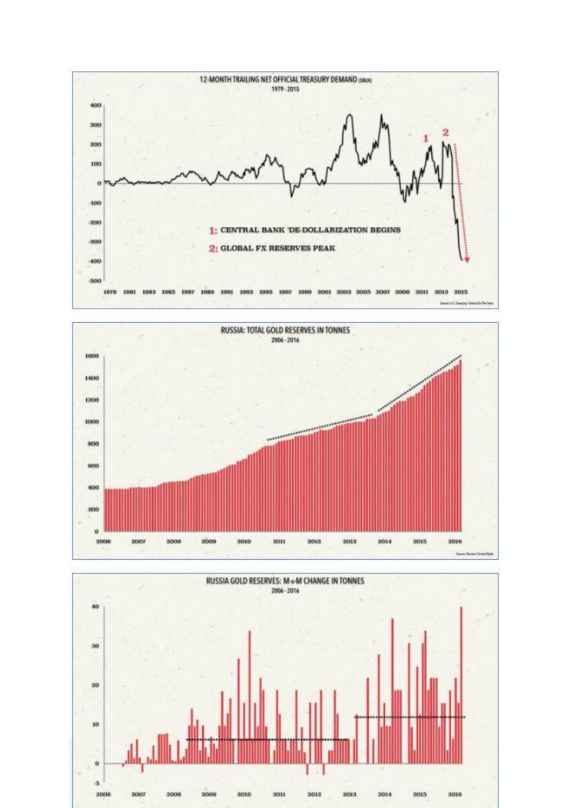



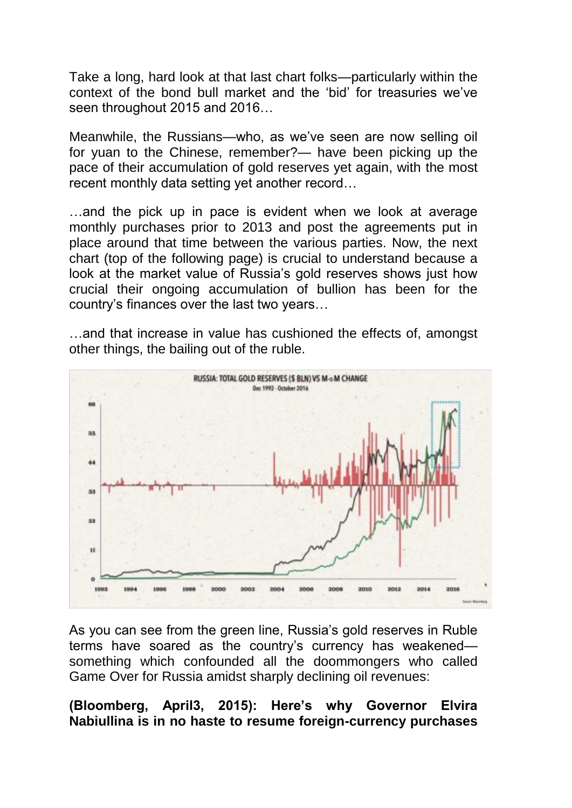Take a long, hard look at that last chart folks—particularly within the context of the bond bull market and the "bid" for treasuries we"ve seen throughout 2015 and 2016…

Meanwhile, the Russians—who, as we"ve seen are now selling oil for yuan to the Chinese, remember?— have been picking up the pace of their accumulation of gold reserves yet again, with the most recent monthly data setting yet another record…

…and the pick up in pace is evident when we look at average monthly purchases prior to 2013 and post the agreements put in place around that time between the various parties. Now, the next chart (top of the following page) is crucial to understand because a look at the market value of Russia's gold reserves shows just how crucial their ongoing accumulation of bullion has been for the country"s finances over the last two years…

…and that increase in value has cushioned the effects of, amongst other things, the bailing out of the ruble.



As you can see from the green line, Russia"s gold reserves in Ruble terms have soared as the country"s currency has weakened something which confounded all the doommongers who called Game Over for Russia amidst sharply declining oil revenues:

**(Bloomberg, April3, 2015): Here's why Governor Elvira Nabiullina is in no haste to resume foreign-currency purchases**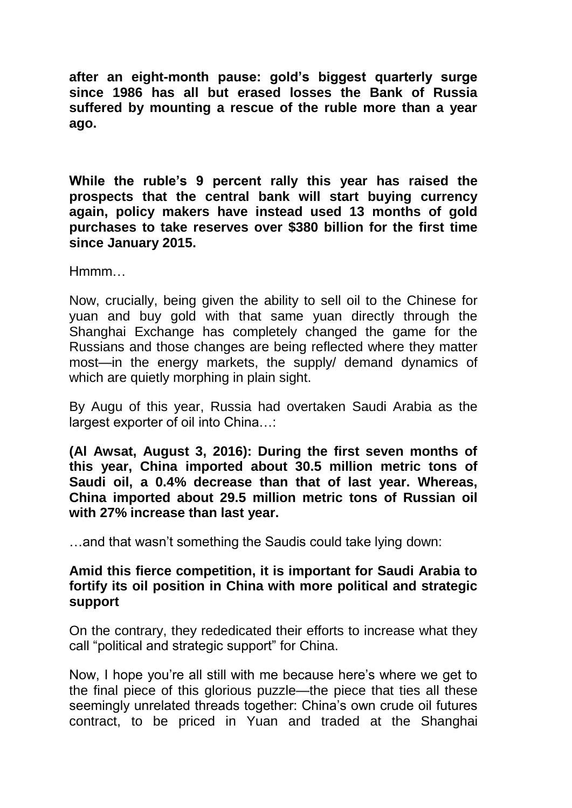**after an eight-month pause: gold's biggest quarterly surge since 1986 has all but erased losses the Bank of Russia suffered by mounting a rescue of the ruble more than a year ago.**

**While the ruble's 9 percent rally this year has raised the prospects that the central bank will start buying currency again, policy makers have instead used 13 months of gold purchases to take reserves over \$380 billion for the first time since January 2015.**

Hmmm…

Now, crucially, being given the ability to sell oil to the Chinese for yuan and buy gold with that same yuan directly through the Shanghai Exchange has completely changed the game for the Russians and those changes are being reflected where they matter most—in the energy markets, the supply/ demand dynamics of which are quietly morphing in plain sight.

By Augu of this year, Russia had overtaken Saudi Arabia as the largest exporter of oil into China…:

**(Al Awsat, August 3, 2016): During the first seven months of this year, China imported about 30.5 million metric tons of Saudi oil, a 0.4% decrease than that of last year. Whereas, China imported about 29.5 million metric tons of Russian oil with 27% increase than last year.**

…and that wasn"t something the Saudis could take lying down:

## **Amid this fierce competition, it is important for Saudi Arabia to fortify its oil position in China with more political and strategic support**

On the contrary, they rededicated their efforts to increase what they call "political and strategic support" for China.

Now, I hope you"re all still with me because here"s where we get to the final piece of this glorious puzzle—the piece that ties all these seemingly unrelated threads together: China's own crude oil futures contract, to be priced in Yuan and traded at the Shanghai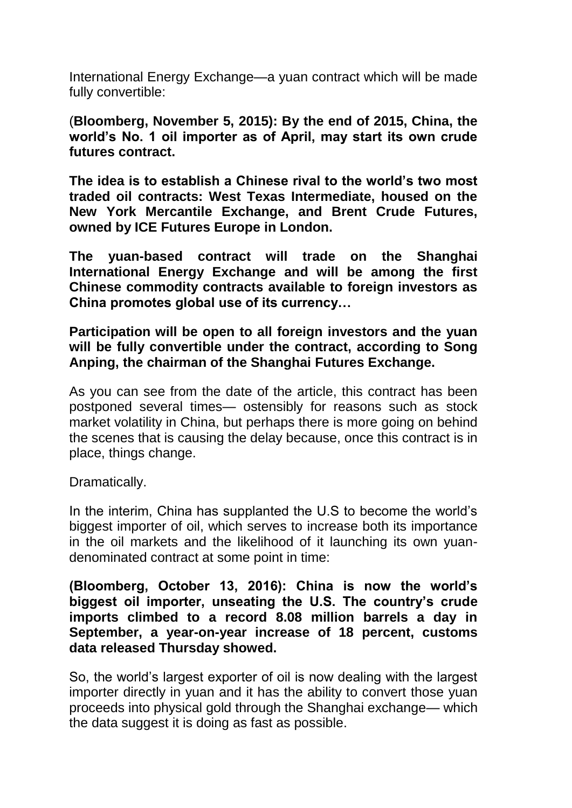International Energy Exchange—a yuan contract which will be made fully convertible:

(**Bloomberg, November 5, 2015): By the end of 2015, China, the world's No. 1 oil importer as of April, may start its own crude futures contract.**

**The idea is to establish a Chinese rival to the world's two most traded oil contracts: West Texas Intermediate, housed on the New York Mercantile Exchange, and Brent Crude Futures, owned by ICE Futures Europe in London.**

**The yuan-based contract will trade on the Shanghai International Energy Exchange and will be among the first Chinese commodity contracts available to foreign investors as China promotes global use of its currency…**

**Participation will be open to all foreign investors and the yuan will be fully convertible under the contract, according to Song Anping, the chairman of the Shanghai Futures Exchange.**

As you can see from the date of the article, this contract has been postponed several times— ostensibly for reasons such as stock market volatility in China, but perhaps there is more going on behind the scenes that is causing the delay because, once this contract is in place, things change.

Dramatically.

In the interim, China has supplanted the U.S to become the world"s biggest importer of oil, which serves to increase both its importance in the oil markets and the likelihood of it launching its own yuandenominated contract at some point in time:

## **(Bloomberg, October 13, 2016): China is now the world's biggest oil importer, unseating the U.S. The country's crude imports climbed to a record 8.08 million barrels a day in September, a year-on-year increase of 18 percent, customs data released Thursday showed.**

So, the world"s largest exporter of oil is now dealing with the largest importer directly in yuan and it has the ability to convert those yuan proceeds into physical gold through the Shanghai exchange— which the data suggest it is doing as fast as possible.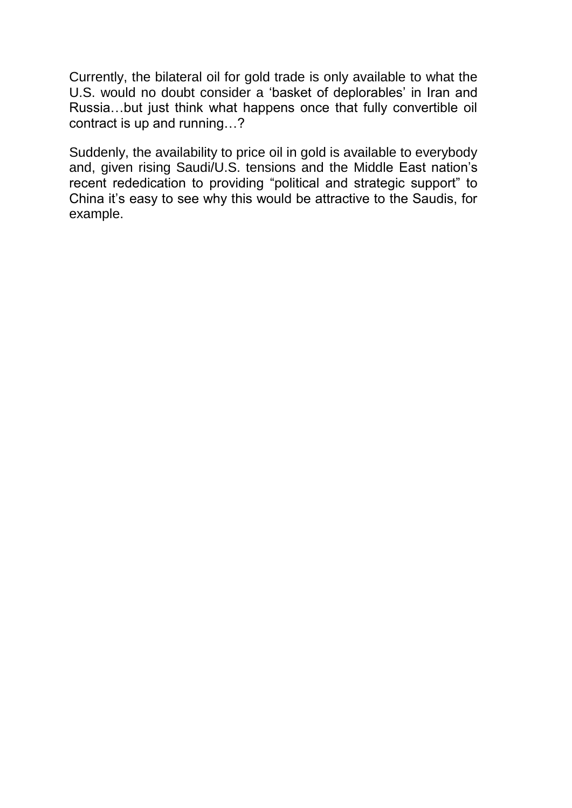Currently, the bilateral oil for gold trade is only available to what the U.S. would no doubt consider a "basket of deplorables" in Iran and Russia…but just think what happens once that fully convertible oil contract is up and running…?

Suddenly, the availability to price oil in gold is available to everybody and, given rising Saudi/U.S. tensions and the Middle East nation"s recent rededication to providing "political and strategic support" to China it"s easy to see why this would be attractive to the Saudis, for example.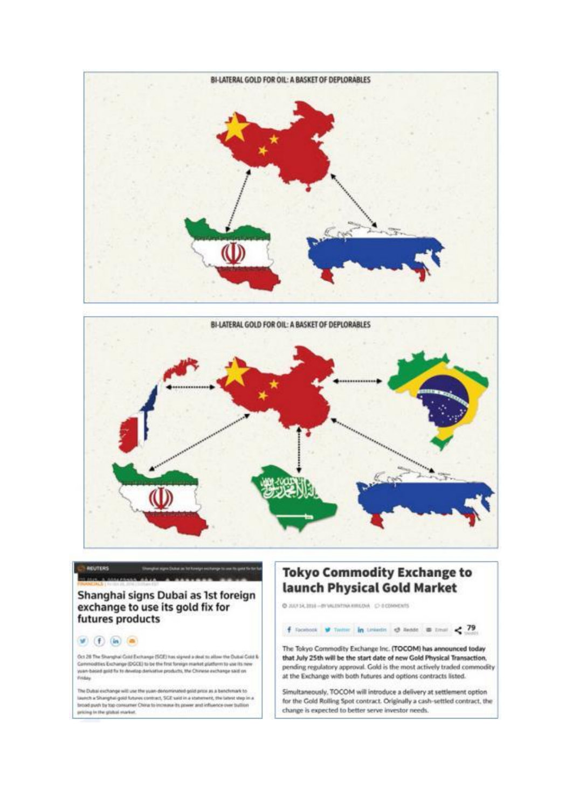



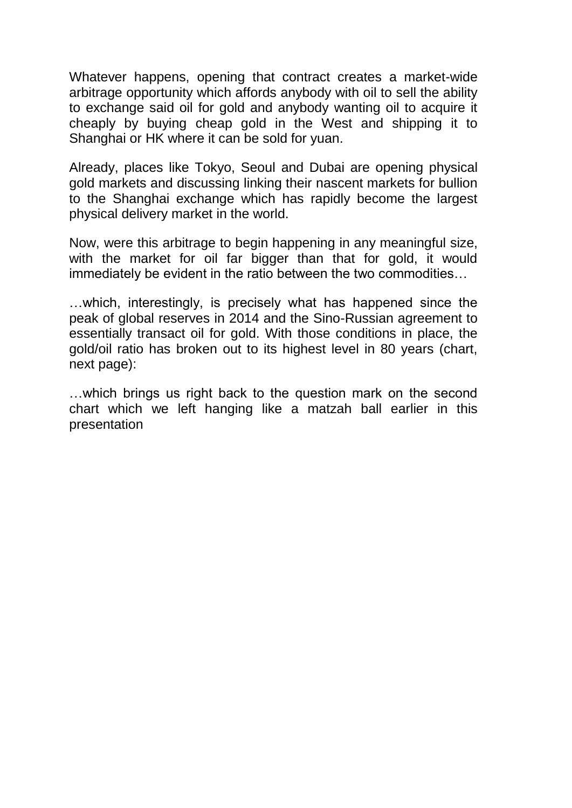Whatever happens, opening that contract creates a market-wide arbitrage opportunity which affords anybody with oil to sell the ability to exchange said oil for gold and anybody wanting oil to acquire it cheaply by buying cheap gold in the West and shipping it to Shanghai or HK where it can be sold for yuan.

Already, places like Tokyo, Seoul and Dubai are opening physical gold markets and discussing linking their nascent markets for bullion to the Shanghai exchange which has rapidly become the largest physical delivery market in the world.

Now, were this arbitrage to begin happening in any meaningful size, with the market for oil far bigger than that for gold, it would immediately be evident in the ratio between the two commodities…

…which, interestingly, is precisely what has happened since the peak of global reserves in 2014 and the Sino-Russian agreement to essentially transact oil for gold. With those conditions in place, the gold/oil ratio has broken out to its highest level in 80 years (chart, next page):

…which brings us right back to the question mark on the second chart which we left hanging like a matzah ball earlier in this presentation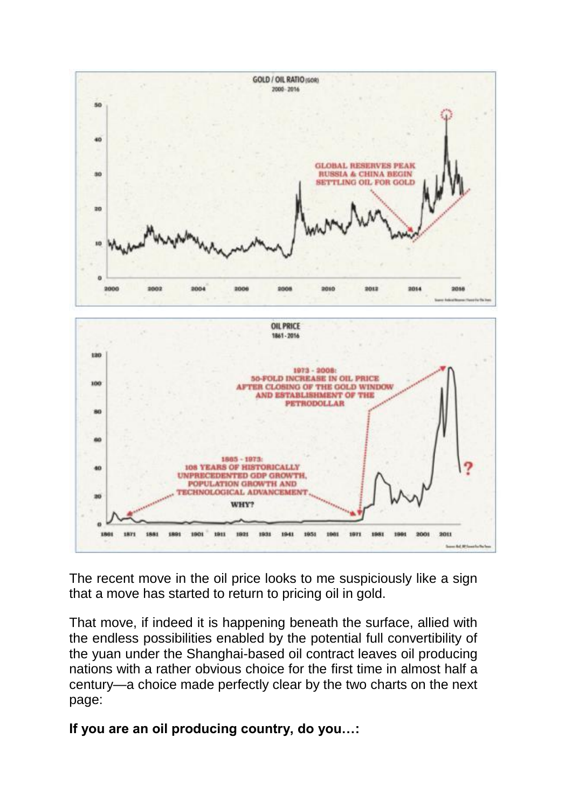



The recent move in the oil price looks to me suspiciously like a sign that a move has started to return to pricing oil in gold.

That move, if indeed it is happening beneath the surface, allied with the endless possibilities enabled by the potential full convertibility of the yuan under the Shanghai-based oil contract leaves oil producing nations with a rather obvious choice for the first time in almost half a century—a choice made perfectly clear by the two charts on the next page:

**If you are an oil producing country, do you…:**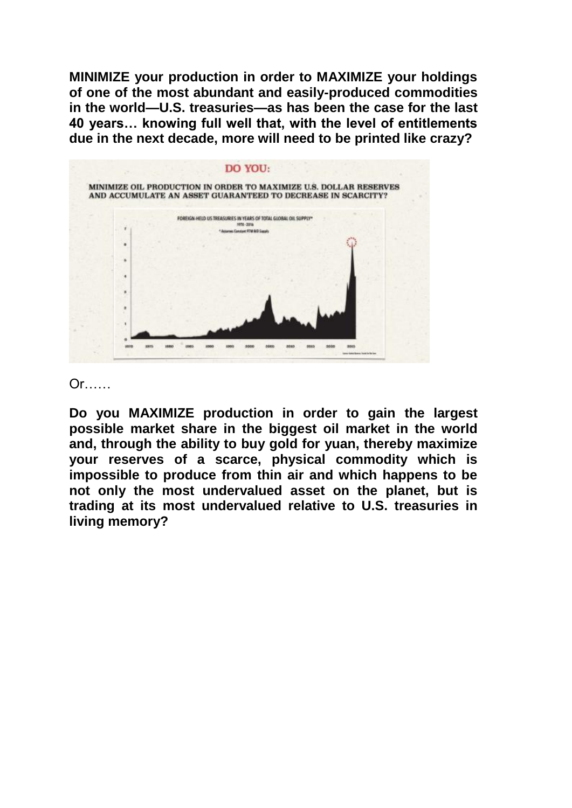**MINIMIZE your production in order to MAXIMIZE your holdings of one of the most abundant and easily-produced commodities in the world—U.S. treasuries—as has been the case for the last 40 years… knowing full well that, with the level of entitlements due in the next decade, more will need to be printed like crazy?**



Or<sub>u</sub>

**Do you MAXIMIZE production in order to gain the largest possible market share in the biggest oil market in the world and, through the ability to buy gold for yuan, thereby maximize your reserves of a scarce, physical commodity which is impossible to produce from thin air and which happens to be not only the most undervalued asset on the planet, but is trading at its most undervalued relative to U.S. treasuries in living memory?**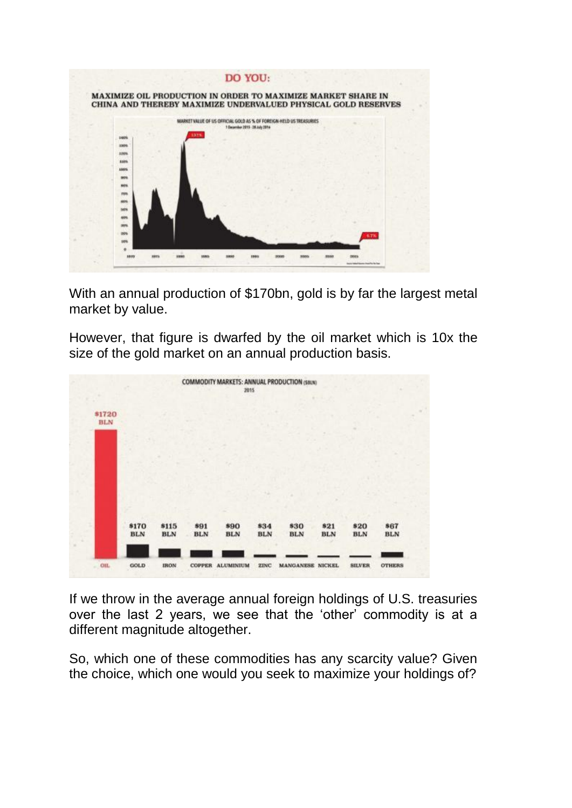

With an annual production of \$170bn, gold is by far the largest metal market by value.

However, that figure is dwarfed by the oil market which is 10x the size of the gold market on an annual production basis.



If we throw in the average annual foreign holdings of U.S. treasuries over the last 2 years, we see that the "other" commodity is at a different magnitude altogether.

So, which one of these commodities has any scarcity value? Given the choice, which one would you seek to maximize your holdings of?